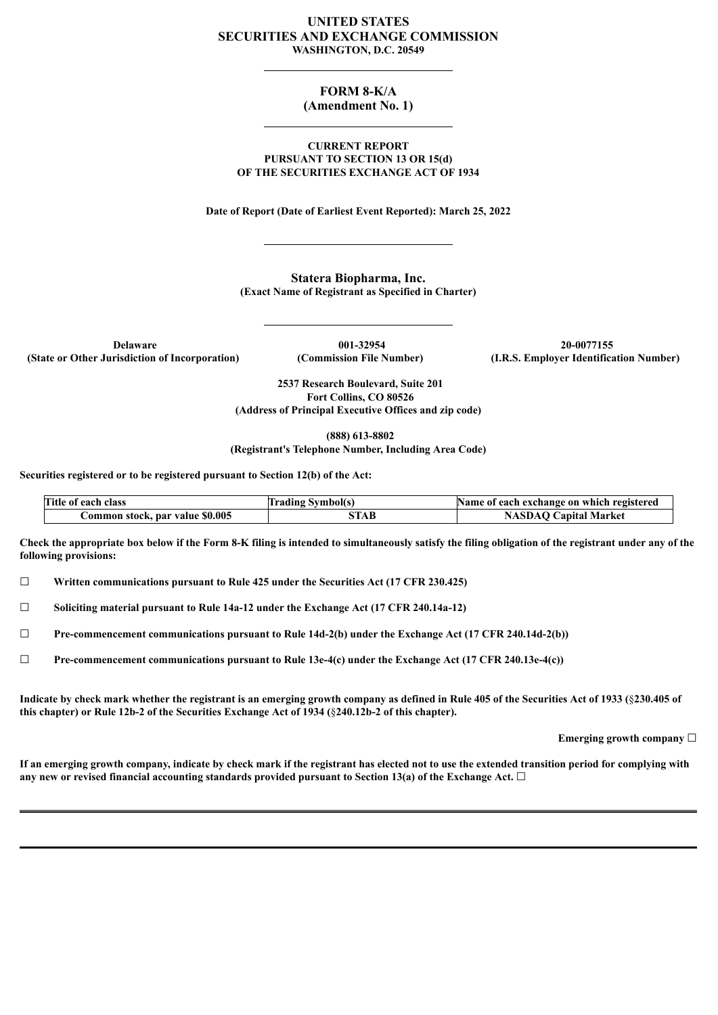#### **UNITED STATES SECURITIES AND EXCHANGE COMMISSION WASHINGTON, D.C. 20549**

# **FORM 8-K/A**

## **(Amendment No. 1)**

#### **CURRENT REPORT PURSUANT TO SECTION 13 OR 15(d) OF THE SECURITIES EXCHANGE ACT OF 1934**

**Date of Report (Date of Earliest Event Reported): March 25, 2022**

**Statera Biopharma, Inc. (Exact Name of Registrant as Specified in Charter)**

**Delaware 001-32954 20-0077155**

**(State or Other Jurisdiction of Incorporation) (Commission File Number) (I.R.S. Employer Identification Number)**

**2537 Research Boulevard, Suite 201 Fort Collins, CO 80526 (Address of Principal Executive Offices and zip code)**

**(888) 613-8802**

**(Registrant's Telephone Number, Including Area Code)**

**Securities registered or to be registered pursuant to Section 12(b) of the Act:**

| Title of each class             | <b>Trading Symbol(s)</b> | Name of each exchange on which registered |
|---------------------------------|--------------------------|-------------------------------------------|
| Common stock, par value \$0.005 | STAB                     | <b>NASDAQ Capital Market</b>              |

Check the appropriate box below if the Form 8-K filing is intended to simultaneously satisfy the filing obligation of the registrant under any of the **following provisions:**

☐ **Written communications pursuant to Rule 425 under the Securities Act (17 CFR 230.425)**

☐ **Soliciting material pursuant to Rule 14a-12 under the Exchange Act (17 CFR 240.14a-12)**

☐ **Pre-commencement communications pursuant to Rule 14d-2(b) under the Exchange Act (17 CFR 240.14d-2(b))**

☐ **Pre-commencement communications pursuant to Rule 13e-4(c) under the Exchange Act (17 CFR 240.13e-4(c))**

Indicate by check mark whether the registrant is an emerging growth company as defined in Rule 405 of the Securities Act of 1933 (§230.405 of **this chapter) or Rule 12b-2 of the Securities Exchange Act of 1934 (**§**240.12b-2 of this chapter).**

**Emerging growth company** ☐

If an emerging growth company, indicate by check mark if the registrant has elected not to use the extended transition period for complying with **any new or revised financial accounting standards provided pursuant to Section 13(a) of the Exchange Act.** ☐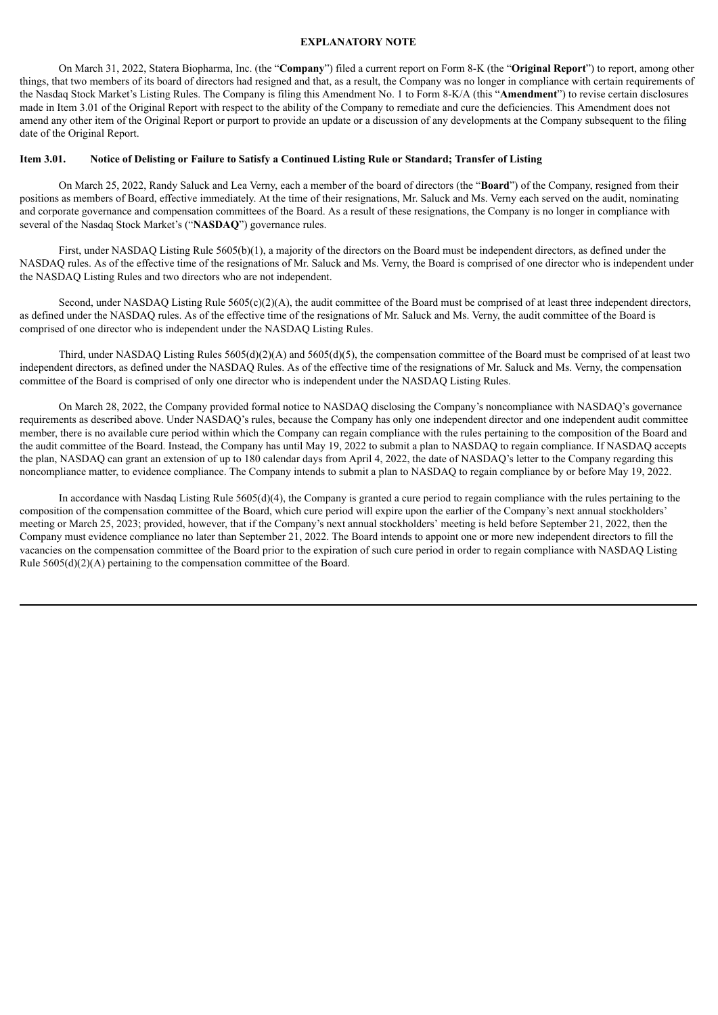#### **EXPLANATORY NOTE**

On March 31, 2022, Statera Biopharma, Inc. (the "**Company**") filed a current report on Form 8-K (the "**Original Report**") to report, among other things, that two members of its board of directors had resigned and that, as a result, the Company was no longer in compliance with certain requirements of the Nasdaq Stock Market's Listing Rules. The Company is filing this Amendment No. 1 to Form 8-K/A (this "**Amendment**") to revise certain disclosures made in Item 3.01 of the Original Report with respect to the ability of the Company to remediate and cure the deficiencies. This Amendment does not amend any other item of the Original Report or purport to provide an update or a discussion of any developments at the Company subsequent to the filing date of the Original Report.

#### Item 3.01. Notice of Delisting or Failure to Satisfy a Continued Listing Rule or Standard: Transfer of Listing

On March 25, 2022, Randy Saluck and Lea Verny, each a member of the board of directors (the "**Board**") of the Company, resigned from their positions as members of Board, effective immediately. At the time of their resignations, Mr. Saluck and Ms. Verny each served on the audit, nominating and corporate governance and compensation committees of the Board. As a result of these resignations, the Company is no longer in compliance with several of the Nasdaq Stock Market's ("**NASDAQ**") governance rules.

First, under NASDAQ Listing Rule 5605(b)(1), a majority of the directors on the Board must be independent directors, as defined under the NASDAQ rules. As of the effective time of the resignations of Mr. Saluck and Ms. Verny, the Board is comprised of one director who is independent under the NASDAQ Listing Rules and two directors who are not independent.

Second, under NASDAQ Listing Rule 5605(c)(2)(A), the audit committee of the Board must be comprised of at least three independent directors, as defined under the NASDAQ rules. As of the effective time of the resignations of Mr. Saluck and Ms. Verny, the audit committee of the Board is comprised of one director who is independent under the NASDAQ Listing Rules.

Third, under NASDAQ Listing Rules 5605(d)(2)(A) and 5605(d)(5), the compensation committee of the Board must be comprised of at least two independent directors, as defined under the NASDAQ Rules. As of the effective time of the resignations of Mr. Saluck and Ms. Verny, the compensation committee of the Board is comprised of only one director who is independent under the NASDAQ Listing Rules.

On March 28, 2022, the Company provided formal notice to NASDAQ disclosing the Company's noncompliance with NASDAQ's governance requirements as described above. Under NASDAQ's rules, because the Company has only one independent director and one independent audit committee member, there is no available cure period within which the Company can regain compliance with the rules pertaining to the composition of the Board and the audit committee of the Board. Instead, the Company has until May 19, 2022 to submit a plan to NASDAQ to regain compliance. If NASDAQ accepts the plan, NASDAQ can grant an extension of up to 180 calendar days from April 4, 2022, the date of NASDAQ's letter to the Company regarding this noncompliance matter, to evidence compliance. The Company intends to submit a plan to NASDAQ to regain compliance by or before May 19, 2022.

In accordance with Nasdaq Listing Rule 5605(d)(4), the Company is granted a cure period to regain compliance with the rules pertaining to the composition of the compensation committee of the Board, which cure period will expire upon the earlier of the Company's next annual stockholders' meeting or March 25, 2023; provided, however, that if the Company's next annual stockholders' meeting is held before September 21, 2022, then the Company must evidence compliance no later than September 21, 2022. The Board intends to appoint one or more new independent directors to fill the vacancies on the compensation committee of the Board prior to the expiration of such cure period in order to regain compliance with NASDAQ Listing Rule 5605(d)(2)(A) pertaining to the compensation committee of the Board.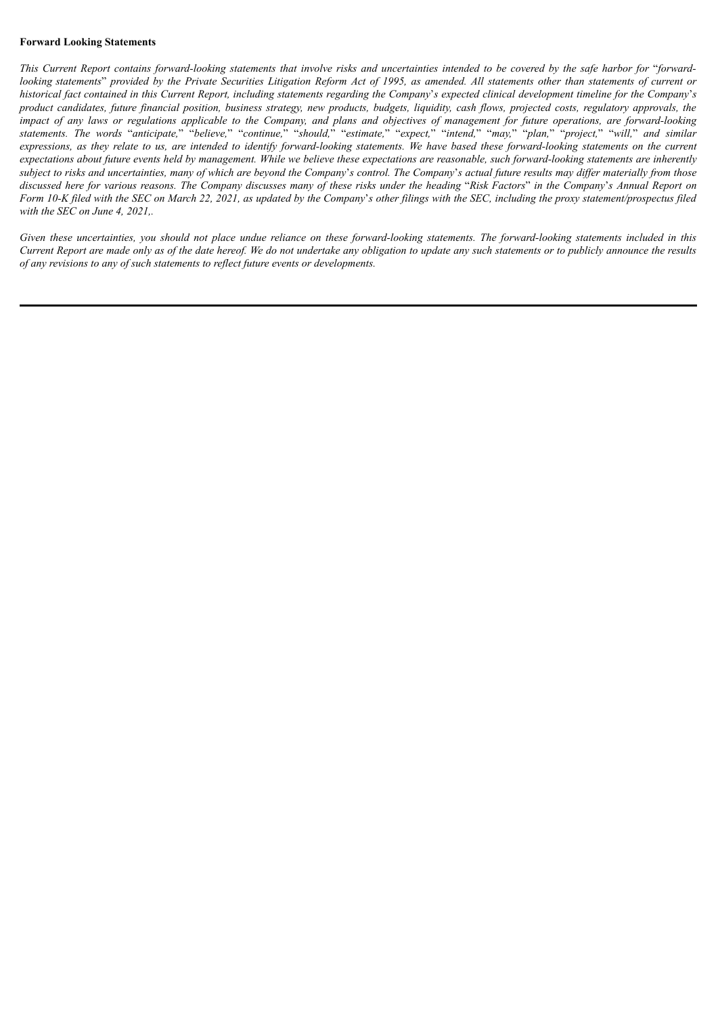#### **Forward Looking Statements**

This Current Report contains forward-looking statements that involve risks and uncertainties intended to be covered by the safe harbor for "forwardlooking statements" provided by the Private Securities Litigation Reform Act of 1995, as amended. All statements other than statements of current or historical fact contained in this Current Report, including statements regarding the Company's expected clinical development timeline for the Company's product candidates, future financial position, business strategy, new products, budgets, liquidity, cash flows, projected costs, regulatory approvals, the impact of any laws or regulations applicable to the Company, and plans and objectives of management for future operations, are forward-looking statements. The words "anticipate," "believe," "continue," "should," "estimate," "expect," "intend," "may," "plan," "project," "will," and similar expressions, as they relate to us, are intended to identify forward-looking statements. We have based these forward-looking statements on the current expectations about future events held by management. While we believe these expectations are reasonable, such forward-looking statements are inherently subject to risks and uncertainties, many of which are beyond the Company's control. The Company's actual future results may differ materially from those discussed here for various reasons. The Company discusses many of these risks under the heading "Risk Factors" in the Company's Annual Report on Form 10-K filed with the SEC on March 22, 2021, as updated by the Company's other filings with the SEC, including the proxy statement/prospectus filed *with the SEC on June 4, 2021,.*

Given these uncertainties, you should not place undue reliance on these forward-looking statements. The forward-looking statements included in this Current Report are made only as of the date hereof. We do not undertake any obligation to update any such statements or to publicly announce the results *of any revisions to any of such statements to reflect future events or developments.*